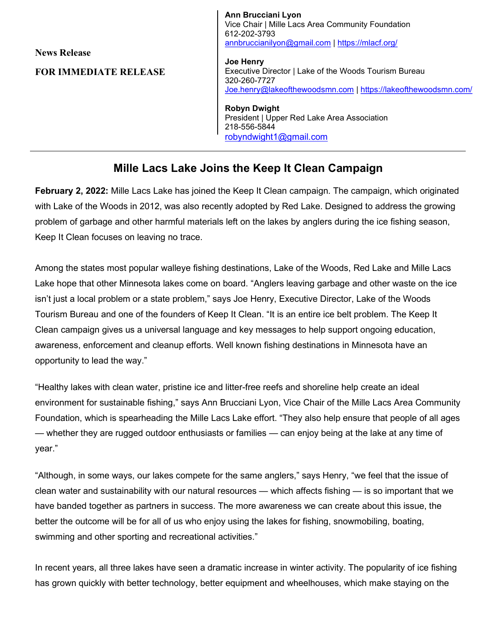News Release

FOR IMMEDIATE RELEASE

Ann Brucciani Lyon Vice Chair | Mille Lacs Area Community Foundation 612-202-3793 annbruccianilyon@gmail.com | https://mlacf.org/

Joe Henry Executive Director | Lake of the Woods Tourism Bureau 320-260-7727 Joe.henry@lakeofthewoodsmn.com | https://lakeofthewoodsmn.com/

Robyn Dwight President | Upper Red Lake Area Association 218-556-5844 robyndwight1@gmail.com

## Mille Lacs Lake Joins the Keep It Clean Campaign

February 2, 2022: Mille Lacs Lake has joined the Keep It Clean campaign. The campaign, which originated with Lake of the Woods in 2012, was also recently adopted by Red Lake. Designed to address the growing problem of garbage and other harmful materials left on the lakes by anglers during the ice fishing season, Keep It Clean focuses on leaving no trace.

Among the states most popular walleye fishing destinations, Lake of the Woods, Red Lake and Mille Lacs Lake hope that other Minnesota lakes come on board. "Anglers leaving garbage and other waste on the ice isn't just a local problem or a state problem," says Joe Henry, Executive Director, Lake of the Woods Tourism Bureau and one of the founders of Keep It Clean. "It is an entire ice belt problem. The Keep It Clean campaign gives us a universal language and key messages to help support ongoing education, awareness, enforcement and cleanup efforts. Well known fishing destinations in Minnesota have an opportunity to lead the way."

"Healthy lakes with clean water, pristine ice and litter-free reefs and shoreline help create an ideal environment for sustainable fishing," says Ann Brucciani Lyon, Vice Chair of the Mille Lacs Area Community Foundation, which is spearheading the Mille Lacs Lake effort. "They also help ensure that people of all ages — whether they are rugged outdoor enthusiasts or families — can enjoy being at the lake at any time of year."

"Although, in some ways, our lakes compete for the same anglers," says Henry, "we feel that the issue of clean water and sustainability with our natural resources — which affects fishing — is so important that we have banded together as partners in success. The more awareness we can create about this issue, the better the outcome will be for all of us who enjoy using the lakes for fishing, snowmobiling, boating, swimming and other sporting and recreational activities."

In recent years, all three lakes have seen a dramatic increase in winter activity. The popularity of ice fishing has grown quickly with better technology, better equipment and wheelhouses, which make staying on the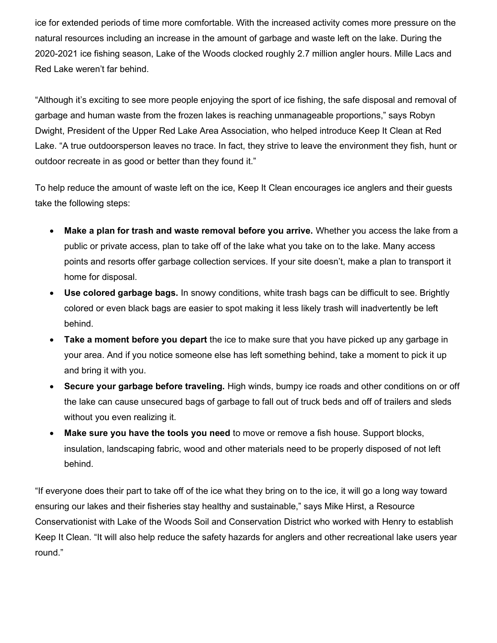ice for extended periods of time more comfortable. With the increased activity comes more pressure on the natural resources including an increase in the amount of garbage and waste left on the lake. During the 2020-2021 ice fishing season, Lake of the Woods clocked roughly 2.7 million angler hours. Mille Lacs and Red Lake weren't far behind.

"Although it's exciting to see more people enjoying the sport of ice fishing, the safe disposal and removal of garbage and human waste from the frozen lakes is reaching unmanageable proportions," says Robyn Dwight, President of the Upper Red Lake Area Association, who helped introduce Keep It Clean at Red Lake. "A true outdoorsperson leaves no trace. In fact, they strive to leave the environment they fish, hunt or outdoor recreate in as good or better than they found it."

To help reduce the amount of waste left on the ice, Keep It Clean encourages ice anglers and their guests take the following steps:

- Make a plan for trash and waste removal before you arrive. Whether you access the lake from a public or private access, plan to take off of the lake what you take on to the lake. Many access points and resorts offer garbage collection services. If your site doesn't, make a plan to transport it home for disposal.
- Use colored garbage bags. In snowy conditions, white trash bags can be difficult to see. Brightly colored or even black bags are easier to spot making it less likely trash will inadvertently be left behind.
- Take a moment before you depart the ice to make sure that you have picked up any garbage in your area. And if you notice someone else has left something behind, take a moment to pick it up and bring it with you.
- Secure your garbage before traveling. High winds, bumpy ice roads and other conditions on or off the lake can cause unsecured bags of garbage to fall out of truck beds and off of trailers and sleds without you even realizing it.
- Make sure you have the tools you need to move or remove a fish house. Support blocks, insulation, landscaping fabric, wood and other materials need to be properly disposed of not left behind.

"If everyone does their part to take off of the ice what they bring on to the ice, it will go a long way toward ensuring our lakes and their fisheries stay healthy and sustainable," says Mike Hirst, a Resource Conservationist with Lake of the Woods Soil and Conservation District who worked with Henry to establish Keep It Clean. "It will also help reduce the safety hazards for anglers and other recreational lake users year round."